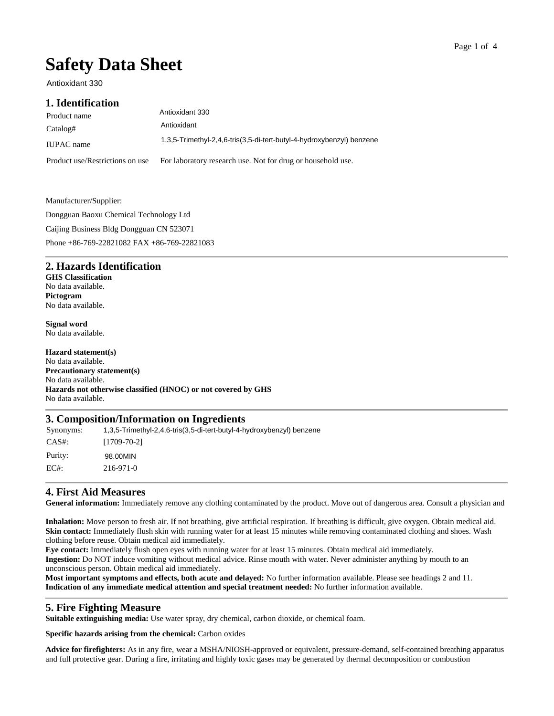#### Page 1 of 4

# **Safety Data Sheet**

Antioxidant 330

#### **1. Identification**

| Product name                    | Antioxidant 330                                                       |
|---------------------------------|-----------------------------------------------------------------------|
| Catalog#                        | Antioxidant                                                           |
| <b>IUPAC</b> name               | 1,3,5-Trimethyl-2,4,6-tris(3,5-di-tert-butyl-4-hydroxybenzyl) benzene |
| Product use/Restrictions on use | For laboratory research use. Not for drug or household use.           |

Manufacturer/Supplier: Dongguan Baoxu Chemical Technology Ltd Caijing Business Bldg Dongguan CN 523071 Phone +86-769-22821082 FAX +86-769-22821083

#### **2. Hazards Identification**

**GHS Classification**  No data available. **Pictogram**  No data available.

**Signal word** No data available.

## **Hazard statement(s)**

No data available. **Precautionary statement(s)** No data available. **Hazards not otherwise classified (HNOC) or not covered by GHS** No data available.

#### **3. Composition/Information on Ingredients**

Synonyms: CAS#: [1709-70-2] Purity: EC#: 216-971-0 1,3,5-Trimethyl-2,4,6-tris(3,5-di-tert-butyl-4-hydroxybenzyl) benzene 98.00MIN

## **4. First Aid Measures**

**General information:** Immediately remove any clothing contaminated by the product. Move out of dangerous area. Consult a physician and

**Inhalation:** Move person to fresh air. If not breathing, give artificial respiration. If breathing is difficult, give oxygen. Obtain medical aid. **Skin contact:** Immediately flush skin with running water for at least 15 minutes while removing contaminated clothing and shoes. Wash clothing before reuse. Obtain medical aid immediately.

**Eye contact:** Immediately flush open eyes with running water for at least 15 minutes. Obtain medical aid immediately. **Ingestion:** Do NOT induce vomiting without medical advice. Rinse mouth with water. Never administer anything by mouth to an unconscious person. Obtain medical aid immediately.

**Most important symptoms and effects, both acute and delayed:** No further information available. Please see headings 2 and 11. **Indication of any immediate medical attention and special treatment needed:** No further information available.

#### **5. Fire Fighting Measure**

**Suitable extinguishing media:** Use water spray, dry chemical, carbon dioxide, or chemical foam.

**Specific hazards arising from the chemical:** Carbon oxides

**Advice for firefighters:** As in any fire, wear a MSHA/NIOSH-approved or equivalent, pressure-demand, self-contained breathing apparatus and full protective gear. During a fire, irritating and highly toxic gases may be generated by thermal decomposition or combustion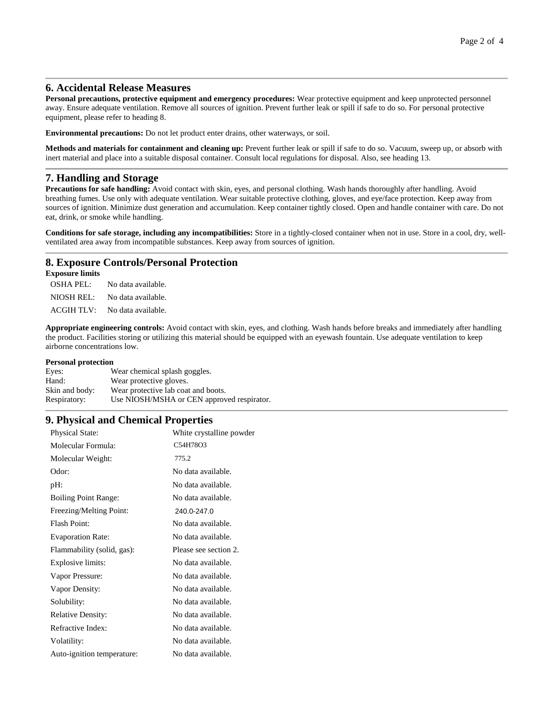#### **6. Accidental Release Measures**

**Personal precautions, protective equipment and emergency procedures:** Wear protective equipment and keep unprotected personnel away. Ensure adequate ventilation. Remove all sources of ignition. Prevent further leak or spill if safe to do so. For personal protective equipment, please refer to heading 8.

**Environmental precautions:** Do not let product enter drains, other waterways, or soil.

**Methods and materials for containment and cleaning up:** Prevent further leak or spill if safe to do so. Vacuum, sweep up, or absorb with inert material and place into a suitable disposal container. Consult local regulations for disposal. Also, see heading 13.

#### **7. Handling and Storage**

**Precautions for safe handling:** Avoid contact with skin, eyes, and personal clothing. Wash hands thoroughly after handling. Avoid breathing fumes. Use only with adequate ventilation. Wear suitable protective clothing, gloves, and eye/face protection. Keep away from sources of ignition. Minimize dust generation and accumulation. Keep container tightly closed. Open and handle container with care. Do not eat, drink, or smoke while handling.

**Conditions for safe storage, including any incompatibilities:** Store in a tightly-closed container when not in use. Store in a cool, dry, wellventilated area away from incompatible substances. Keep away from sources of ignition.

#### **8. Exposure Controls/Personal Protection**

#### **Exposure limits**

OSHA PEL: No data available. NIOSH REL: No data available. ACGIH TLV: No data available.

**Appropriate engineering controls:** Avoid contact with skin, eyes, and clothing. Wash hands before breaks and immediately after handling the product. Facilities storing or utilizing this material should be equipped with an eyewash fountain. Use adequate ventilation to keep airborne concentrations low.

#### **Personal protection**

| Eyes:          | Wear chemical splash goggles.              |
|----------------|--------------------------------------------|
| Hand:          | Wear protective gloves.                    |
| Skin and body: | Wear protective lab coat and boots.        |
| Respiratory:   | Use NIOSH/MSHA or CEN approved respirator. |

#### **9. Physical and Chemical Properties**

| <b>Physical State:</b>      | White crystalline powder |
|-----------------------------|--------------------------|
| Molecular Formula:          | C54H78O3                 |
| Molecular Weight:           | 775.2                    |
| Odor:                       | No data available.       |
| pH:                         | No data available.       |
| <b>Boiling Point Range:</b> | No data available.       |
| Freezing/Melting Point:     | 240.0-247.0              |
| Flash Point:                | No data available.       |
| <b>Evaporation Rate:</b>    | No data available.       |
| Flammability (solid, gas):  | Please see section 2.    |
| Explosive limits:           | No data available.       |
| Vapor Pressure:             | No data available.       |
| Vapor Density:              | No data available.       |
| Solubility:                 | No data available.       |
| <b>Relative Density:</b>    | No data available.       |
| Refractive Index:           | No data available.       |
| Volatility:                 | No data available.       |
| Auto-ignition temperature:  | No data available.       |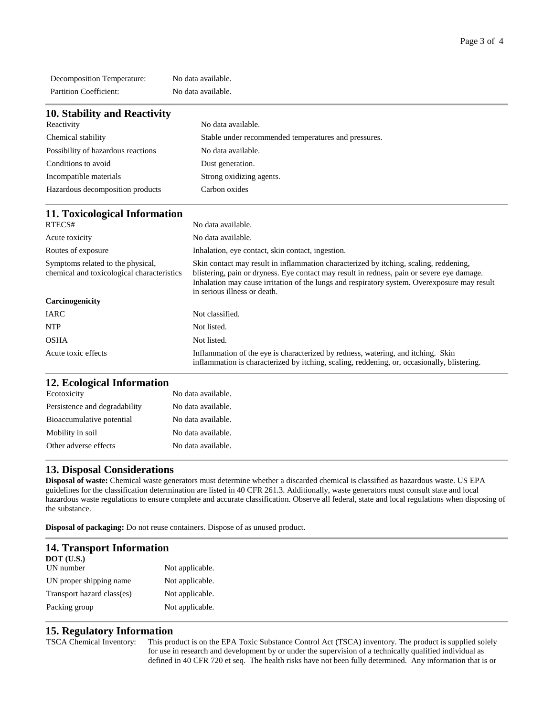Decomposition Temperature: No data available. Partition Coefficient: No data available.

| 10. Stability and Reactivity       |                                                      |
|------------------------------------|------------------------------------------------------|
| Reactivity                         | No data available.                                   |
| Chemical stability                 | Stable under recommended temperatures and pressures. |
| Possibility of hazardous reactions | No data available.                                   |
| Conditions to avoid                | Dust generation.                                     |
| Incompatible materials             | Strong oxidizing agents.                             |
| Hazardous decomposition products   | Carbon oxides                                        |

## **11. Toxicological Information**

| RTECS#                                                                          | No data available.                                                                                                                                                                                                                                                                                                  |
|---------------------------------------------------------------------------------|---------------------------------------------------------------------------------------------------------------------------------------------------------------------------------------------------------------------------------------------------------------------------------------------------------------------|
| Acute toxicity                                                                  | No data available.                                                                                                                                                                                                                                                                                                  |
| Routes of exposure                                                              | Inhalation, eye contact, skin contact, ingestion.                                                                                                                                                                                                                                                                   |
| Symptoms related to the physical,<br>chemical and toxicological characteristics | Skin contact may result in inflammation characterized by itching, scaling, reddening,<br>blistering, pain or dryness. Eye contact may result in redness, pain or severe eye damage.<br>Inhalation may cause irritation of the lungs and respiratory system. Overexposure may result<br>in serious illness or death. |
| Carcinogenicity                                                                 |                                                                                                                                                                                                                                                                                                                     |
| <b>IARC</b>                                                                     | Not classified.                                                                                                                                                                                                                                                                                                     |
| <b>NTP</b>                                                                      | Not listed.                                                                                                                                                                                                                                                                                                         |
| OSHA                                                                            | Not listed.                                                                                                                                                                                                                                                                                                         |
| Acute toxic effects                                                             | Inflammation of the eye is characterized by redness, watering, and itching. Skin<br>inflammation is characterized by itching, scaling, reddening, or, occasionally, blistering.                                                                                                                                     |

## **12. Ecological Information**

| 12.12010           |  |
|--------------------|--|
| No data available. |  |
| No data available. |  |
| No data available. |  |
| No data available. |  |
| No data available. |  |
|                    |  |
|                    |  |

## **13. Disposal Considerations**

**Disposal of waste:** Chemical waste generators must determine whether a discarded chemical is classified as hazardous waste. US EPA guidelines for the classification determination are listed in 40 CFR 261.3. Additionally, waste generators must consult state and local hazardous waste regulations to ensure complete and accurate classification. Observe all federal, state and local regulations when disposing of the substance.

**Disposal of packaging:** Do not reuse containers. Dispose of as unused product.

| <b>14. Transport Information</b> |                 |
|----------------------------------|-----------------|
| <b>DOT</b> (U.S.)                |                 |
| UN number                        | Not applicable. |
| UN proper shipping name          | Not applicable. |
| Transport hazard class(es)       | Not applicable. |
| Packing group                    | Not applicable. |

## **15. Regulatory Information**

TSCA Chemical Inventory: This product is on the EPA Toxic Substance Control Act (TSCA) inventory. The product is supplied solely for use in research and development by or under the supervision of a technically qualified individual as defined in 40 CFR 720 et seq. The health risks have not been fully determined. Any information that is or